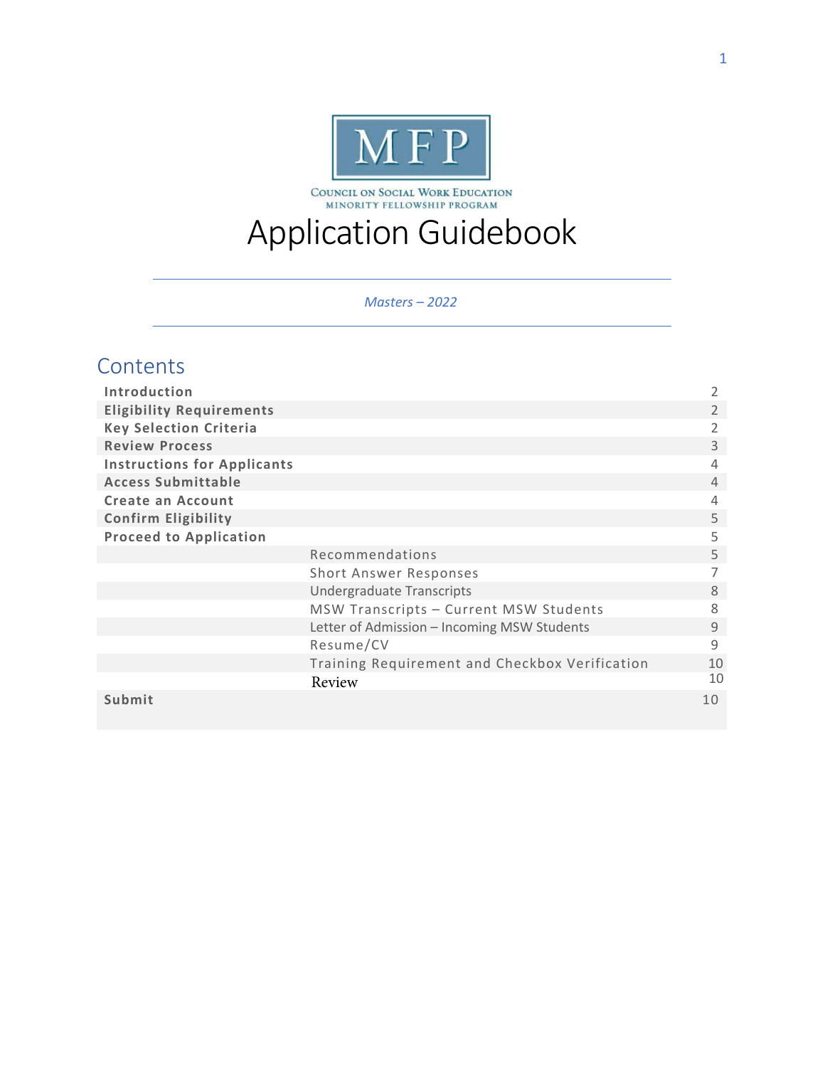

COUNCIL ON SOCIAL WORK EDUCATION<br>MINORITY FELLOWSHIP PROGRAM

# Application Guidebook

*Masters – 2022* 

# **Contents**

| Introduction                       |                                                | $\overline{2}$ |
|------------------------------------|------------------------------------------------|----------------|
| <b>Eligibility Requirements</b>    |                                                | 2              |
| <b>Key Selection Criteria</b>      |                                                | 2              |
| <b>Review Process</b>              |                                                | 3              |
| <b>Instructions for Applicants</b> |                                                | 4              |
| <b>Access Submittable</b>          |                                                | 4              |
| Create an Account                  |                                                | 4              |
| <b>Confirm Eligibility</b>         |                                                | 5              |
| <b>Proceed to Application</b>      |                                                | 5              |
|                                    | Recommendations                                | 5              |
|                                    | Short Answer Responses                         | 7              |
|                                    | <b>Undergraduate Transcripts</b>               | 8              |
|                                    | MSW Transcripts - Current MSW Students         | 8              |
|                                    | Letter of Admission - Incoming MSW Students    | 9              |
|                                    | Resume/CV                                      | 9              |
|                                    | Training Requirement and Checkbox Verification | 10             |
|                                    | Review                                         | 10             |
| Submit                             |                                                | 10             |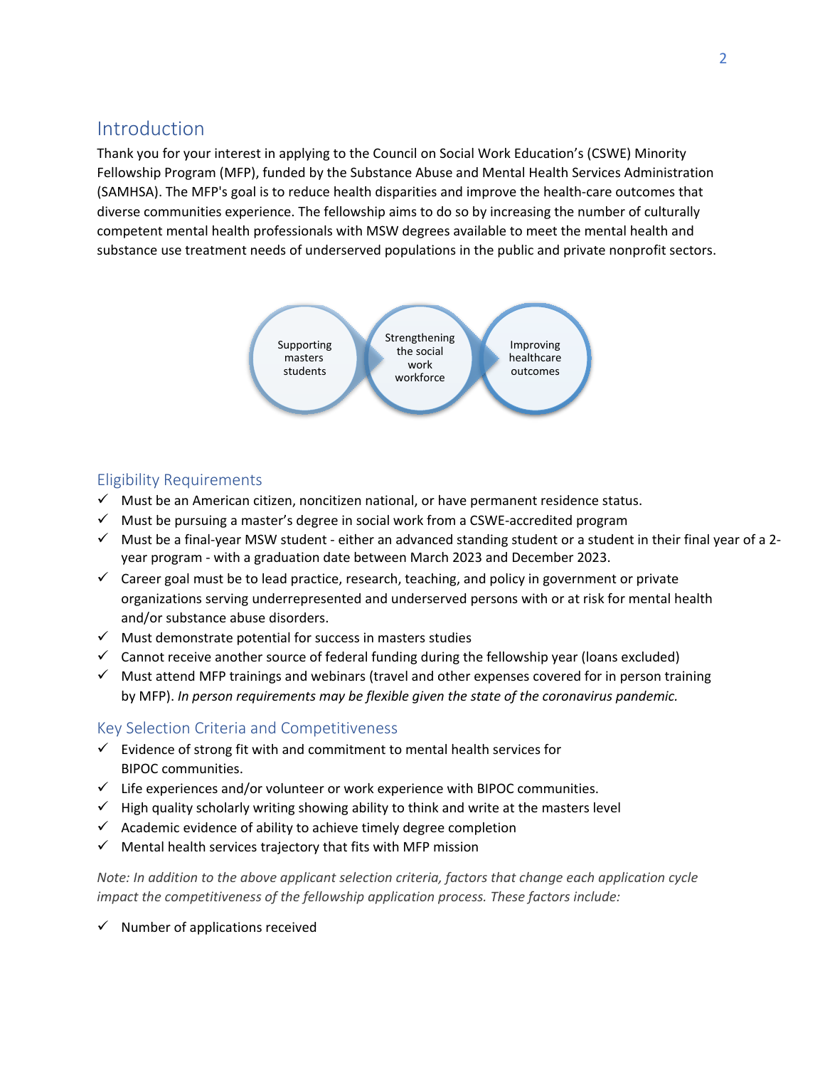# <span id="page-1-0"></span>Introduction

Thank you for your interest in applying to the Council on Social Work Education's (CSWE) Minority Fellowship Program (MFP), funded by the Substance Abuse and Mental Health Services Administration (SAMHSA). The MFP's goal is to reduce health disparities and improve the health-care outcomes that diverse communities experience. The fellowship aims to do so by increasing the number of culturally competent mental health professionals with MSW degrees available to meet the mental health and substance use treatment needs of underserved populations in the public and private nonprofit sectors.



# Eligibility Requirements

- $\checkmark$  Must be an American citizen, noncitizen national, or have permanent residence status.
- $\checkmark$  Must be pursuing a master's degree in social work from a CSWE-accredited program
- $\checkmark$  Must be a final-year MSW student either an advanced standing student or a student in their final year of a 2year program - with a graduation date between March 2023 and December 2023.
- $\checkmark$  Career goal must be to lead practice, research, teaching, and policy in government or private organizations serving underrepresented and underserved persons with or at risk for mental health and/or substance abuse disorders.
- $\checkmark$  Must demonstrate potential for success in masters studies
- $\checkmark$  Cannot receive another source of federal funding during the fellowship year (loans excluded)
- $\checkmark$  Must attend MFP trainings and webinars (travel and other expenses covered for in person training by MFP). *In person requirements may be flexible given the state of the coronavirus pandemic.*

# Key Selection Criteria and Competitiveness

- $\checkmark$  Evidence of strong fit with and commitment to mental health services for BIPOC communities.
- $\checkmark$  Life experiences and/or volunteer or work experience with BIPOC communities.
- $\checkmark$  High quality scholarly writing showing ability to think and write at the masters level
- $\checkmark$  Academic evidence of ability to achieve timely degree completion
- $\checkmark$  Mental health services trajectory that fits with MFP mission

*Note: In addition to the above applicant selection criteria, factors that change each application cycle impact the competitiveness of the fellowship application process. These factors include:*

 $\checkmark$  Number of applications received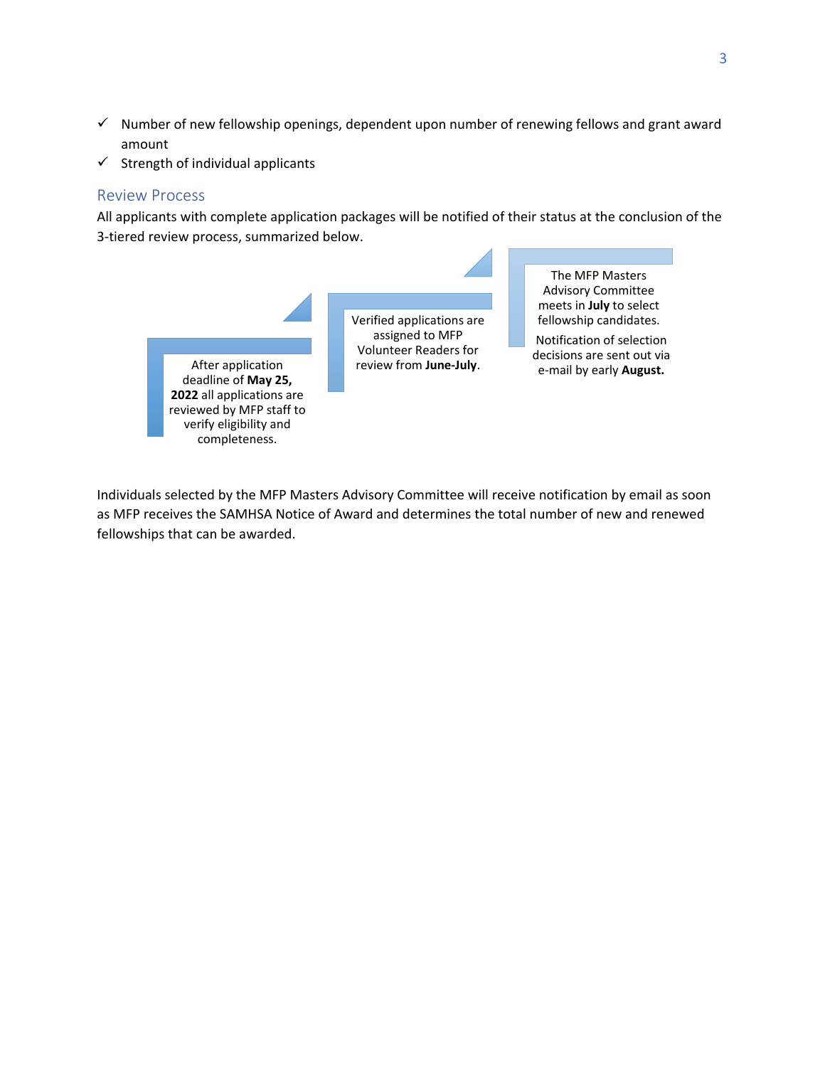- <span id="page-2-0"></span> $\checkmark$  Number of new fellowship openings, dependent upon number of renewing fellows and grant award amount
- $\checkmark$  Strength of individual applicants

#### Review Process

All applicants with complete application packages will be notified of their status at the conclusion of the 3-tiered review process, summarized below.



Verified applications are assigned to MFP Volunteer Readers for review from **June-July**.

The MFP Masters Advisory Committee meets in **July** to select fellowship candidates.

Notification of selection decisions are sent out via e-mail by early **August.**

Individuals selected by the MFP Masters Advisory Committee will receive notification by email as soon as MFP receives the SAMHSA Notice of Award and determines the total number of new and renewed fellowships that can be awarded.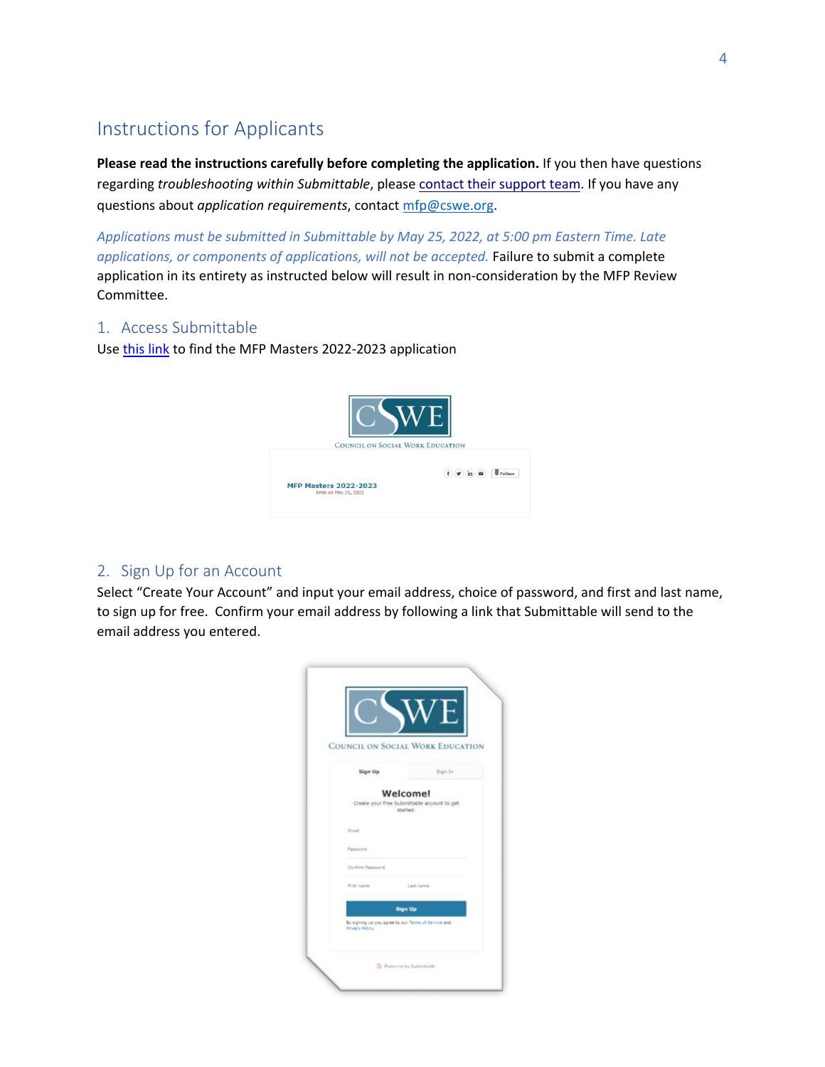# <span id="page-3-0"></span>Instructions for Applicants

**Please read the instructions carefully before completing the application.** If you then have questions regarding *troubleshooting within Submittable*, please contact their [support](https://www.submittable.com/help/submitter/) team. If you have any questions about *application requirements*, contact mfp@cswe.org.

*Applications must be submitted in Submittable by May 25, 2022, at 5:00 pm Eastern Time. Late applications, or components of applications, will not be accepted.* Failure to submit a complete application in its entirety as instructed below will result in non-consideration by the MFP Review Committee.

## 1. Access Submittable

Use [this link](https://cswe.submittable.com/submit/44231cc7-eac8-43e0-9124-a753af16d46d/mfp-masters-2022-2023) to find the MFP Masters 2022-2023 application



# 2. Sign Up for an Account

Select "Create Your Account" and input your email address, choice of password, and first and last name, to sign up for free. Confirm your email address by following a link that Submittable will send to the email address you entered.

|                                                                                          | <b>COUNCIL ON SOCIAL WORK EDUCATION</b>                 |
|------------------------------------------------------------------------------------------|---------------------------------------------------------|
| Sign Up                                                                                  | Sign In                                                 |
| Welcomel                                                                                 | Create your free Submittable account to get<br>started. |
| Tread                                                                                    |                                                         |
| Password<br>Conform Password                                                             |                                                         |
| First name                                                                               | Lest name                                               |
| <b>Sign Up</b><br>By signing up you agree to our Terms of Service and<br>Privacy Pelicy. |                                                         |
|                                                                                          |                                                         |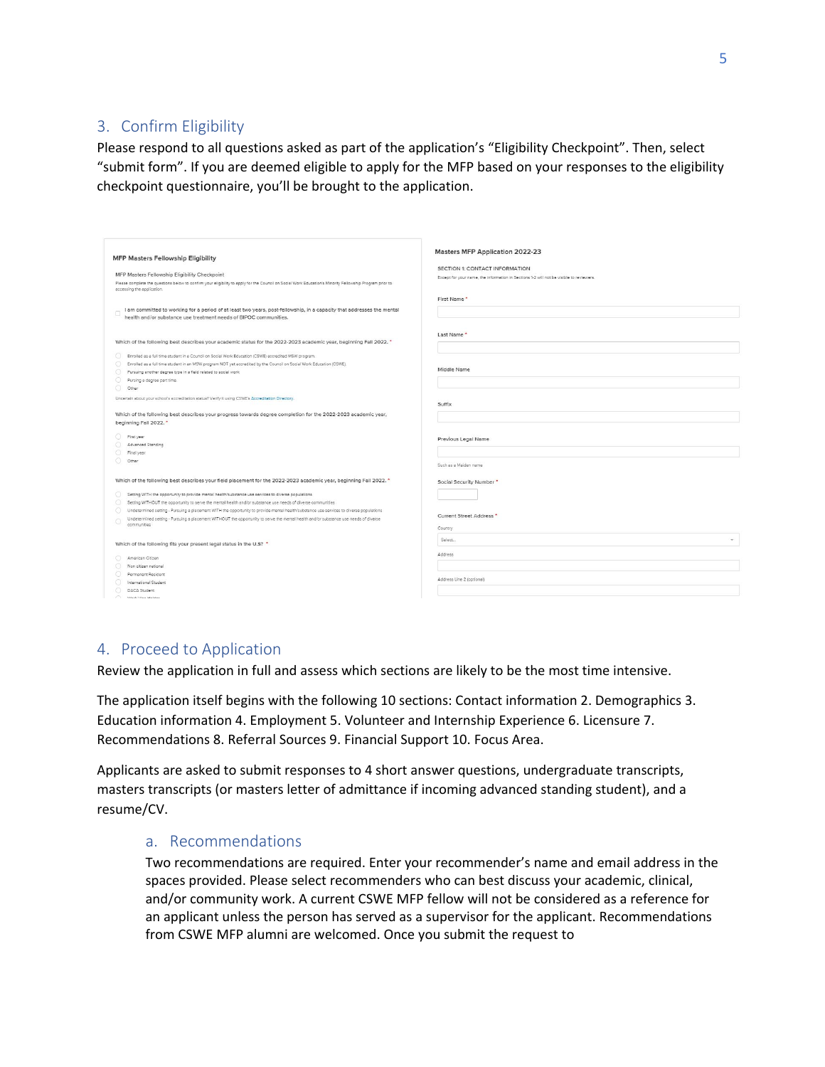# <span id="page-4-0"></span>3. Confirm Eligibility

Please respond to all questions asked as part of the application's "Eligibility Checkpoint". Then, select "submit form". If you are deemed eligible to apply for the MFP based on your responses to the eligibility checkpoint questionnaire, you'll be brought to the application.

| <b>MFP Masters Fellowship Eligibility</b>                                                                                                                                                                                 | Masters MFP Application 2022-23                                                         |
|---------------------------------------------------------------------------------------------------------------------------------------------------------------------------------------------------------------------------|-----------------------------------------------------------------------------------------|
|                                                                                                                                                                                                                           | SECTION 1: CONTACT INFORMATION                                                          |
| MFP Masters Fellowship Eligibility Checkpoint                                                                                                                                                                             | Except for your name, the information in Sections 1-2 will not be visible to reviewers. |
| Please complete the questions below to confirm your eligibility to apply for the Council on Social Work Education's Minority Fellowship Program prior to                                                                  |                                                                                         |
| accessing the application.                                                                                                                                                                                                |                                                                                         |
|                                                                                                                                                                                                                           | First Name                                                                              |
| I am committed to working for a period of at least two years, post-fellowship, in a capacity that addresses the mental                                                                                                    |                                                                                         |
| health and/or substance use treatment needs of BIPOC communities.                                                                                                                                                         |                                                                                         |
|                                                                                                                                                                                                                           |                                                                                         |
|                                                                                                                                                                                                                           | Last Name                                                                               |
| Which of the following best describes your academic status for the 2022-2023 academic year, beginning Fall 2022. *                                                                                                        |                                                                                         |
| $\bigcirc$<br>Enrolled as a full time student in a Council on Social Work Education (CSWE) accredited MSW program.                                                                                                        |                                                                                         |
| Enrolled as a full time student in an MSW program NOT yet accredited by the Council on Social Work Education (CSWE).<br>$\circ$                                                                                           |                                                                                         |
| Pursuing another degree type in a field related to social work<br>O.                                                                                                                                                      | Middle Name                                                                             |
| $\bigcirc$<br>Pursing a degree part time.                                                                                                                                                                                 |                                                                                         |
| 0<br>Other                                                                                                                                                                                                                |                                                                                         |
| Uncertain about your school's accreditation status? Verify it using CSWE's Accreditation Directory.                                                                                                                       |                                                                                         |
|                                                                                                                                                                                                                           | Suffix                                                                                  |
| Which of the following best describes your progress towards degree completion for the 2022-2023 academic year,                                                                                                            |                                                                                         |
| beginning Fall 2022.                                                                                                                                                                                                      |                                                                                         |
| $\circ$<br>First year                                                                                                                                                                                                     | Previous Legal Name                                                                     |
| Advanced Standing                                                                                                                                                                                                         |                                                                                         |
| Final year                                                                                                                                                                                                                |                                                                                         |
| O Other                                                                                                                                                                                                                   | Such as a Maiden name                                                                   |
|                                                                                                                                                                                                                           |                                                                                         |
| Which of the following best describes your field placement for the 2022-2023 academic year, beginning Fall 2022. *                                                                                                        | Social Security Number*                                                                 |
|                                                                                                                                                                                                                           |                                                                                         |
| Setting WITH the opportunity to provide mental health/substance use services to diverse populations<br>О.<br>Setting WITHOUT the opportunity to serve the mental health and/or substance use needs of diverse communities |                                                                                         |
| $\circ$<br>⊙<br>Undetermined setting - Pursuing a placement WITH the opportunity to provide mental health/substance use services to diverse populations                                                                   |                                                                                         |
| Undetermined setting - Pursuing a placement WITHOUT the opportunity to serve the mental health and/or substance use needs of diverse                                                                                      | Current Street Address *                                                                |
| communities                                                                                                                                                                                                               | Country                                                                                 |
|                                                                                                                                                                                                                           |                                                                                         |
| Which of the following fits your present legal status in the U.S? *                                                                                                                                                       | Select.<br>ò.                                                                           |
|                                                                                                                                                                                                                           | Address                                                                                 |
| American Citizen<br>⊙.                                                                                                                                                                                                    |                                                                                         |
| Non citizen national<br>Permanent Resident                                                                                                                                                                                |                                                                                         |
| International Student                                                                                                                                                                                                     | Address Line 2 (optional)                                                               |
| ⊙<br>DACA Student                                                                                                                                                                                                         |                                                                                         |
| <b>Nicol Man Malake</b>                                                                                                                                                                                                   |                                                                                         |

## 4. Proceed to Application

Review the application in full and assess which sections are likely to be the most time intensive.

The application itself begins with the following 10 sections: Contact information 2. Demographics 3. Education information 4. Employment 5. Volunteer and Internship Experience 6. Licensure 7. Recommendations 8. Referral Sources 9. Financial Support 10. Focus Area.

Applicants are asked to submit responses to 4 short answer questions, undergraduate transcripts, masters transcripts (or masters letter of admittance if incoming advanced standing student), and a resume/CV.

#### a. Recommendations

Two recommendations are required. Enter your recommender's name and email address in the spaces provided. Please select recommenders who can best discuss your academic, clinical, and/or community work. A current CSWE MFP fellow will not be considered as a reference for an applicant unless the person has served as a supervisor for the applicant. Recommendations from CSWE MFP alumni are welcomed. Once you submit the request to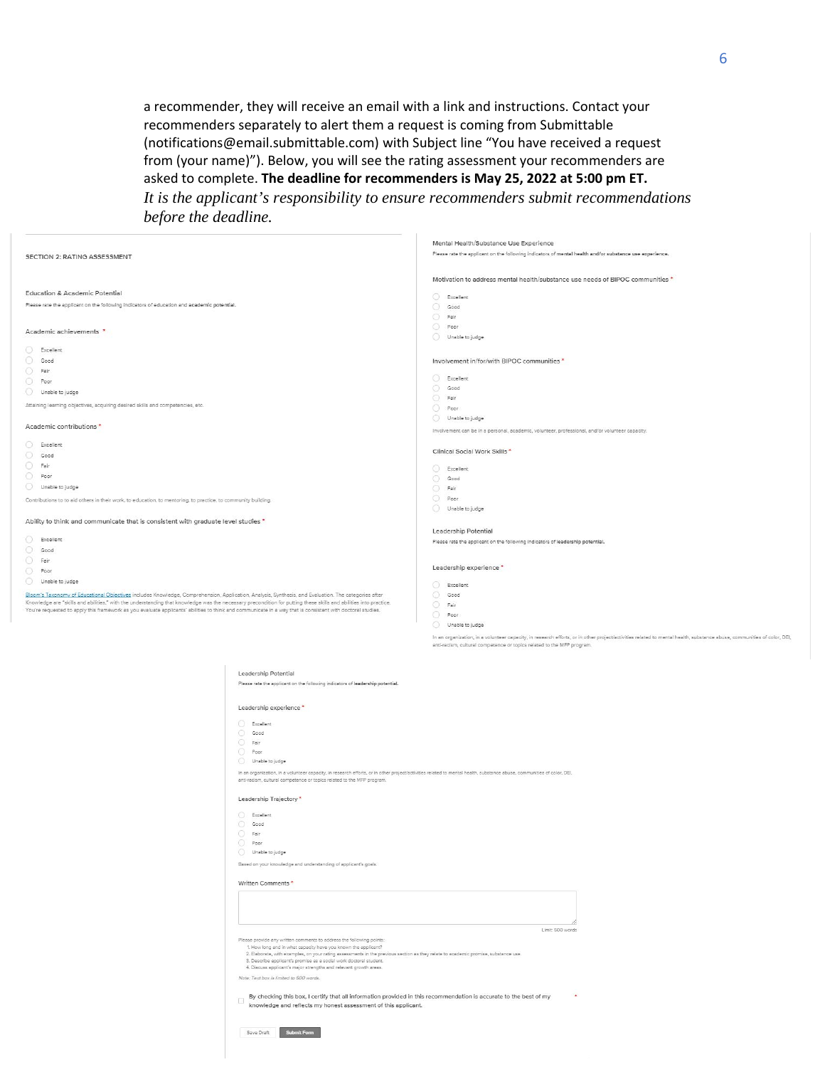<span id="page-5-0"></span>a recommender, they will receive an email with a link and instructions. Contact your recommenders separately to alert them a request is coming from Submittable (notifications@email.submittable.com) with Subject line "You have received a request from (your name)"). Below, you will see the rating assessment your recommenders are asked to complete. **The deadline for recommenders is May 25, 2022 at 5:00 pm ET.** 

*It is the applicant's responsibility to ensure recommenders submit recommendations before the deadline.*

Mental Health/Substance Lise Experience

| SECTION 2: RATING ASSESSMENT<br>Motivation to address mental health/substance use needs of BIPOC communities *<br>Education & Academic Potential<br>C Excellent<br>Please rate the applicant on the following indicators of education and academic potential.<br>Good<br>$\odot$<br>Fair<br>0<br>Poor<br>Academic achievements *<br>Unable to judge<br>Excellent<br>О.<br>$\bigcirc$<br>Good<br>Involvement in/for/with BIPOC communities *<br>$\circ$<br>Fair<br>00<br>Excellent<br>$\circ$<br>Poor<br>Good<br>O<br>Unable to judge<br>⊙<br>Fair<br>Attaining learning objectives, acquiring desired skills and competencies, etc.<br>0<br>Poor<br>O Unable to judge<br>Academic contributions*<br>Involvement can be in a personal, academic, volunteer, professional, and/or volunteer capacity.<br>$\bigcirc$<br>Excellent<br>Clinical Social Work Skills *<br>$\circ$<br>Good<br>$\circ$<br>Fair<br>⊙<br>Excellent<br>$\circ$<br>Poor<br>Good<br>$\circ$<br>Unable to judge<br>$\circ$<br>Fair<br>$\circ$<br>Poor:<br>Contributions to to aid others in their work, to education, to mentoring, to practice, to community building.<br>Unable to judge<br>Ability to think and communicate that is consistent with graduate level studies *<br>Leadership Potential<br>O.<br>Excellent<br>Please rate the applicant on the following indicators of leadership potential.<br>$\circ$<br>Good<br>$\bigcirc$<br>Fair<br>Leadership experience *<br>$\circ$<br>Poor<br>$\circ$<br>Unable to judge<br>$\bigcirc$<br>Excellent<br>Bloom's Taxonomy of Educational Objectives includes Knowledge, Comprehension, Application, Analysis, Synthesis, and Evaluation. The categories after<br>⊙<br>Good<br>Knowledge are "skills and abilities," with the understanding that knowledge was the necessary precondition for putting these skills and abilities into practice.<br>0<br>Fair<br>You're requested to apply this framework as you evaluate applicants' abilities to think and communicate in a way that is consistent with doctoral studies.<br>0<br>Poor<br>0<br>Unable to judge<br>In an organization, in a volunteer capacity, in research efforts, or in other project/activities related to mental health, substance abuse, communities of color, DEI,<br>anti-racism, cultural competence or topics related to the MFP program. |                                                                                                         |
|--------------------------------------------------------------------------------------------------------------------------------------------------------------------------------------------------------------------------------------------------------------------------------------------------------------------------------------------------------------------------------------------------------------------------------------------------------------------------------------------------------------------------------------------------------------------------------------------------------------------------------------------------------------------------------------------------------------------------------------------------------------------------------------------------------------------------------------------------------------------------------------------------------------------------------------------------------------------------------------------------------------------------------------------------------------------------------------------------------------------------------------------------------------------------------------------------------------------------------------------------------------------------------------------------------------------------------------------------------------------------------------------------------------------------------------------------------------------------------------------------------------------------------------------------------------------------------------------------------------------------------------------------------------------------------------------------------------------------------------------------------------------------------------------------------------------------------------------------------------------------------------------------------------------------------------------------------------------------------------------------------------------------------------------------------------------------------------------------------------------------------------------------------------------------------------------------------------------------------------------------------------------------------------------------------------------------------------------|---------------------------------------------------------------------------------------------------------|
|                                                                                                                                                                                                                                                                                                                                                                                                                                                                                                                                                                                                                                                                                                                                                                                                                                                                                                                                                                                                                                                                                                                                                                                                                                                                                                                                                                                                                                                                                                                                                                                                                                                                                                                                                                                                                                                                                                                                                                                                                                                                                                                                                                                                                                                                                                                                            | Please rate the applicant on the following indicators of mental health and/or substance use experience. |
|                                                                                                                                                                                                                                                                                                                                                                                                                                                                                                                                                                                                                                                                                                                                                                                                                                                                                                                                                                                                                                                                                                                                                                                                                                                                                                                                                                                                                                                                                                                                                                                                                                                                                                                                                                                                                                                                                                                                                                                                                                                                                                                                                                                                                                                                                                                                            |                                                                                                         |
|                                                                                                                                                                                                                                                                                                                                                                                                                                                                                                                                                                                                                                                                                                                                                                                                                                                                                                                                                                                                                                                                                                                                                                                                                                                                                                                                                                                                                                                                                                                                                                                                                                                                                                                                                                                                                                                                                                                                                                                                                                                                                                                                                                                                                                                                                                                                            |                                                                                                         |
|                                                                                                                                                                                                                                                                                                                                                                                                                                                                                                                                                                                                                                                                                                                                                                                                                                                                                                                                                                                                                                                                                                                                                                                                                                                                                                                                                                                                                                                                                                                                                                                                                                                                                                                                                                                                                                                                                                                                                                                                                                                                                                                                                                                                                                                                                                                                            |                                                                                                         |
|                                                                                                                                                                                                                                                                                                                                                                                                                                                                                                                                                                                                                                                                                                                                                                                                                                                                                                                                                                                                                                                                                                                                                                                                                                                                                                                                                                                                                                                                                                                                                                                                                                                                                                                                                                                                                                                                                                                                                                                                                                                                                                                                                                                                                                                                                                                                            |                                                                                                         |
|                                                                                                                                                                                                                                                                                                                                                                                                                                                                                                                                                                                                                                                                                                                                                                                                                                                                                                                                                                                                                                                                                                                                                                                                                                                                                                                                                                                                                                                                                                                                                                                                                                                                                                                                                                                                                                                                                                                                                                                                                                                                                                                                                                                                                                                                                                                                            |                                                                                                         |
|                                                                                                                                                                                                                                                                                                                                                                                                                                                                                                                                                                                                                                                                                                                                                                                                                                                                                                                                                                                                                                                                                                                                                                                                                                                                                                                                                                                                                                                                                                                                                                                                                                                                                                                                                                                                                                                                                                                                                                                                                                                                                                                                                                                                                                                                                                                                            |                                                                                                         |
|                                                                                                                                                                                                                                                                                                                                                                                                                                                                                                                                                                                                                                                                                                                                                                                                                                                                                                                                                                                                                                                                                                                                                                                                                                                                                                                                                                                                                                                                                                                                                                                                                                                                                                                                                                                                                                                                                                                                                                                                                                                                                                                                                                                                                                                                                                                                            |                                                                                                         |
|                                                                                                                                                                                                                                                                                                                                                                                                                                                                                                                                                                                                                                                                                                                                                                                                                                                                                                                                                                                                                                                                                                                                                                                                                                                                                                                                                                                                                                                                                                                                                                                                                                                                                                                                                                                                                                                                                                                                                                                                                                                                                                                                                                                                                                                                                                                                            |                                                                                                         |
|                                                                                                                                                                                                                                                                                                                                                                                                                                                                                                                                                                                                                                                                                                                                                                                                                                                                                                                                                                                                                                                                                                                                                                                                                                                                                                                                                                                                                                                                                                                                                                                                                                                                                                                                                                                                                                                                                                                                                                                                                                                                                                                                                                                                                                                                                                                                            |                                                                                                         |
|                                                                                                                                                                                                                                                                                                                                                                                                                                                                                                                                                                                                                                                                                                                                                                                                                                                                                                                                                                                                                                                                                                                                                                                                                                                                                                                                                                                                                                                                                                                                                                                                                                                                                                                                                                                                                                                                                                                                                                                                                                                                                                                                                                                                                                                                                                                                            |                                                                                                         |
|                                                                                                                                                                                                                                                                                                                                                                                                                                                                                                                                                                                                                                                                                                                                                                                                                                                                                                                                                                                                                                                                                                                                                                                                                                                                                                                                                                                                                                                                                                                                                                                                                                                                                                                                                                                                                                                                                                                                                                                                                                                                                                                                                                                                                                                                                                                                            |                                                                                                         |
|                                                                                                                                                                                                                                                                                                                                                                                                                                                                                                                                                                                                                                                                                                                                                                                                                                                                                                                                                                                                                                                                                                                                                                                                                                                                                                                                                                                                                                                                                                                                                                                                                                                                                                                                                                                                                                                                                                                                                                                                                                                                                                                                                                                                                                                                                                                                            |                                                                                                         |
|                                                                                                                                                                                                                                                                                                                                                                                                                                                                                                                                                                                                                                                                                                                                                                                                                                                                                                                                                                                                                                                                                                                                                                                                                                                                                                                                                                                                                                                                                                                                                                                                                                                                                                                                                                                                                                                                                                                                                                                                                                                                                                                                                                                                                                                                                                                                            |                                                                                                         |
|                                                                                                                                                                                                                                                                                                                                                                                                                                                                                                                                                                                                                                                                                                                                                                                                                                                                                                                                                                                                                                                                                                                                                                                                                                                                                                                                                                                                                                                                                                                                                                                                                                                                                                                                                                                                                                                                                                                                                                                                                                                                                                                                                                                                                                                                                                                                            |                                                                                                         |
|                                                                                                                                                                                                                                                                                                                                                                                                                                                                                                                                                                                                                                                                                                                                                                                                                                                                                                                                                                                                                                                                                                                                                                                                                                                                                                                                                                                                                                                                                                                                                                                                                                                                                                                                                                                                                                                                                                                                                                                                                                                                                                                                                                                                                                                                                                                                            |                                                                                                         |
|                                                                                                                                                                                                                                                                                                                                                                                                                                                                                                                                                                                                                                                                                                                                                                                                                                                                                                                                                                                                                                                                                                                                                                                                                                                                                                                                                                                                                                                                                                                                                                                                                                                                                                                                                                                                                                                                                                                                                                                                                                                                                                                                                                                                                                                                                                                                            |                                                                                                         |
|                                                                                                                                                                                                                                                                                                                                                                                                                                                                                                                                                                                                                                                                                                                                                                                                                                                                                                                                                                                                                                                                                                                                                                                                                                                                                                                                                                                                                                                                                                                                                                                                                                                                                                                                                                                                                                                                                                                                                                                                                                                                                                                                                                                                                                                                                                                                            |                                                                                                         |
|                                                                                                                                                                                                                                                                                                                                                                                                                                                                                                                                                                                                                                                                                                                                                                                                                                                                                                                                                                                                                                                                                                                                                                                                                                                                                                                                                                                                                                                                                                                                                                                                                                                                                                                                                                                                                                                                                                                                                                                                                                                                                                                                                                                                                                                                                                                                            |                                                                                                         |
|                                                                                                                                                                                                                                                                                                                                                                                                                                                                                                                                                                                                                                                                                                                                                                                                                                                                                                                                                                                                                                                                                                                                                                                                                                                                                                                                                                                                                                                                                                                                                                                                                                                                                                                                                                                                                                                                                                                                                                                                                                                                                                                                                                                                                                                                                                                                            |                                                                                                         |
|                                                                                                                                                                                                                                                                                                                                                                                                                                                                                                                                                                                                                                                                                                                                                                                                                                                                                                                                                                                                                                                                                                                                                                                                                                                                                                                                                                                                                                                                                                                                                                                                                                                                                                                                                                                                                                                                                                                                                                                                                                                                                                                                                                                                                                                                                                                                            |                                                                                                         |
|                                                                                                                                                                                                                                                                                                                                                                                                                                                                                                                                                                                                                                                                                                                                                                                                                                                                                                                                                                                                                                                                                                                                                                                                                                                                                                                                                                                                                                                                                                                                                                                                                                                                                                                                                                                                                                                                                                                                                                                                                                                                                                                                                                                                                                                                                                                                            |                                                                                                         |
|                                                                                                                                                                                                                                                                                                                                                                                                                                                                                                                                                                                                                                                                                                                                                                                                                                                                                                                                                                                                                                                                                                                                                                                                                                                                                                                                                                                                                                                                                                                                                                                                                                                                                                                                                                                                                                                                                                                                                                                                                                                                                                                                                                                                                                                                                                                                            |                                                                                                         |
|                                                                                                                                                                                                                                                                                                                                                                                                                                                                                                                                                                                                                                                                                                                                                                                                                                                                                                                                                                                                                                                                                                                                                                                                                                                                                                                                                                                                                                                                                                                                                                                                                                                                                                                                                                                                                                                                                                                                                                                                                                                                                                                                                                                                                                                                                                                                            |                                                                                                         |
|                                                                                                                                                                                                                                                                                                                                                                                                                                                                                                                                                                                                                                                                                                                                                                                                                                                                                                                                                                                                                                                                                                                                                                                                                                                                                                                                                                                                                                                                                                                                                                                                                                                                                                                                                                                                                                                                                                                                                                                                                                                                                                                                                                                                                                                                                                                                            |                                                                                                         |
|                                                                                                                                                                                                                                                                                                                                                                                                                                                                                                                                                                                                                                                                                                                                                                                                                                                                                                                                                                                                                                                                                                                                                                                                                                                                                                                                                                                                                                                                                                                                                                                                                                                                                                                                                                                                                                                                                                                                                                                                                                                                                                                                                                                                                                                                                                                                            |                                                                                                         |
|                                                                                                                                                                                                                                                                                                                                                                                                                                                                                                                                                                                                                                                                                                                                                                                                                                                                                                                                                                                                                                                                                                                                                                                                                                                                                                                                                                                                                                                                                                                                                                                                                                                                                                                                                                                                                                                                                                                                                                                                                                                                                                                                                                                                                                                                                                                                            |                                                                                                         |
|                                                                                                                                                                                                                                                                                                                                                                                                                                                                                                                                                                                                                                                                                                                                                                                                                                                                                                                                                                                                                                                                                                                                                                                                                                                                                                                                                                                                                                                                                                                                                                                                                                                                                                                                                                                                                                                                                                                                                                                                                                                                                                                                                                                                                                                                                                                                            |                                                                                                         |
|                                                                                                                                                                                                                                                                                                                                                                                                                                                                                                                                                                                                                                                                                                                                                                                                                                                                                                                                                                                                                                                                                                                                                                                                                                                                                                                                                                                                                                                                                                                                                                                                                                                                                                                                                                                                                                                                                                                                                                                                                                                                                                                                                                                                                                                                                                                                            |                                                                                                         |
|                                                                                                                                                                                                                                                                                                                                                                                                                                                                                                                                                                                                                                                                                                                                                                                                                                                                                                                                                                                                                                                                                                                                                                                                                                                                                                                                                                                                                                                                                                                                                                                                                                                                                                                                                                                                                                                                                                                                                                                                                                                                                                                                                                                                                                                                                                                                            |                                                                                                         |
|                                                                                                                                                                                                                                                                                                                                                                                                                                                                                                                                                                                                                                                                                                                                                                                                                                                                                                                                                                                                                                                                                                                                                                                                                                                                                                                                                                                                                                                                                                                                                                                                                                                                                                                                                                                                                                                                                                                                                                                                                                                                                                                                                                                                                                                                                                                                            |                                                                                                         |
|                                                                                                                                                                                                                                                                                                                                                                                                                                                                                                                                                                                                                                                                                                                                                                                                                                                                                                                                                                                                                                                                                                                                                                                                                                                                                                                                                                                                                                                                                                                                                                                                                                                                                                                                                                                                                                                                                                                                                                                                                                                                                                                                                                                                                                                                                                                                            |                                                                                                         |
|                                                                                                                                                                                                                                                                                                                                                                                                                                                                                                                                                                                                                                                                                                                                                                                                                                                                                                                                                                                                                                                                                                                                                                                                                                                                                                                                                                                                                                                                                                                                                                                                                                                                                                                                                                                                                                                                                                                                                                                                                                                                                                                                                                                                                                                                                                                                            |                                                                                                         |
|                                                                                                                                                                                                                                                                                                                                                                                                                                                                                                                                                                                                                                                                                                                                                                                                                                                                                                                                                                                                                                                                                                                                                                                                                                                                                                                                                                                                                                                                                                                                                                                                                                                                                                                                                                                                                                                                                                                                                                                                                                                                                                                                                                                                                                                                                                                                            |                                                                                                         |
|                                                                                                                                                                                                                                                                                                                                                                                                                                                                                                                                                                                                                                                                                                                                                                                                                                                                                                                                                                                                                                                                                                                                                                                                                                                                                                                                                                                                                                                                                                                                                                                                                                                                                                                                                                                                                                                                                                                                                                                                                                                                                                                                                                                                                                                                                                                                            |                                                                                                         |
|                                                                                                                                                                                                                                                                                                                                                                                                                                                                                                                                                                                                                                                                                                                                                                                                                                                                                                                                                                                                                                                                                                                                                                                                                                                                                                                                                                                                                                                                                                                                                                                                                                                                                                                                                                                                                                                                                                                                                                                                                                                                                                                                                                                                                                                                                                                                            |                                                                                                         |
|                                                                                                                                                                                                                                                                                                                                                                                                                                                                                                                                                                                                                                                                                                                                                                                                                                                                                                                                                                                                                                                                                                                                                                                                                                                                                                                                                                                                                                                                                                                                                                                                                                                                                                                                                                                                                                                                                                                                                                                                                                                                                                                                                                                                                                                                                                                                            |                                                                                                         |
|                                                                                                                                                                                                                                                                                                                                                                                                                                                                                                                                                                                                                                                                                                                                                                                                                                                                                                                                                                                                                                                                                                                                                                                                                                                                                                                                                                                                                                                                                                                                                                                                                                                                                                                                                                                                                                                                                                                                                                                                                                                                                                                                                                                                                                                                                                                                            |                                                                                                         |
|                                                                                                                                                                                                                                                                                                                                                                                                                                                                                                                                                                                                                                                                                                                                                                                                                                                                                                                                                                                                                                                                                                                                                                                                                                                                                                                                                                                                                                                                                                                                                                                                                                                                                                                                                                                                                                                                                                                                                                                                                                                                                                                                                                                                                                                                                                                                            |                                                                                                         |
|                                                                                                                                                                                                                                                                                                                                                                                                                                                                                                                                                                                                                                                                                                                                                                                                                                                                                                                                                                                                                                                                                                                                                                                                                                                                                                                                                                                                                                                                                                                                                                                                                                                                                                                                                                                                                                                                                                                                                                                                                                                                                                                                                                                                                                                                                                                                            |                                                                                                         |
|                                                                                                                                                                                                                                                                                                                                                                                                                                                                                                                                                                                                                                                                                                                                                                                                                                                                                                                                                                                                                                                                                                                                                                                                                                                                                                                                                                                                                                                                                                                                                                                                                                                                                                                                                                                                                                                                                                                                                                                                                                                                                                                                                                                                                                                                                                                                            |                                                                                                         |
|                                                                                                                                                                                                                                                                                                                                                                                                                                                                                                                                                                                                                                                                                                                                                                                                                                                                                                                                                                                                                                                                                                                                                                                                                                                                                                                                                                                                                                                                                                                                                                                                                                                                                                                                                                                                                                                                                                                                                                                                                                                                                                                                                                                                                                                                                                                                            |                                                                                                         |
|                                                                                                                                                                                                                                                                                                                                                                                                                                                                                                                                                                                                                                                                                                                                                                                                                                                                                                                                                                                                                                                                                                                                                                                                                                                                                                                                                                                                                                                                                                                                                                                                                                                                                                                                                                                                                                                                                                                                                                                                                                                                                                                                                                                                                                                                                                                                            |                                                                                                         |

Leadership Potential Please rate the applicant on the following indicators of leadership potential.

Leadership experience \*

- $\bigcirc$  Excellent
- $\overline{\bigcirc}$  Good
- $\overline{\bigcirc}$  Fair<br> $\overline{\bigcirc}$  Poor
- $\bigcirc$  Unable to judge

In an organization, in a volunteer capacity, in research efforts, or in other project/activities related to mental health, substance abuse, communities of color, DEI,<br>anti-racism, cultural competence or topics related to t

Leadership Trajectory\*

- $\bigcirc$  Excellent  $\bigcirc$  Good
- $O$  Fair
- $P<sub>cor</sub>$

O Unable to judge

Based on your knowledge and understanding of applicant's goals.

#### Written Comments\*

|                                                                                                                                    | Limit: 500 words |
|------------------------------------------------------------------------------------------------------------------------------------|------------------|
| Please provide any written comments to address the following points:                                                               |                  |
| 1. How long and in what capacity have you known the applicant?                                                                     |                  |
| 2. Elaborate, with examples, on your rating assessments in the previous section as they relate to academic promise, substance use. |                  |
| 3. Describe applicant's promise as a social work doctoral student.                                                                 |                  |
| 4. Discuss applicant's major strengths and relevant growth areas.                                                                  |                  |
|                                                                                                                                    |                  |

Note: Text box is limited to 500 wo

By checking this box, I certify that all information provided in this recommendation is accurate to the best of my knowledge and reflects my honest assessment of this applicant.

Save Draft Submit Form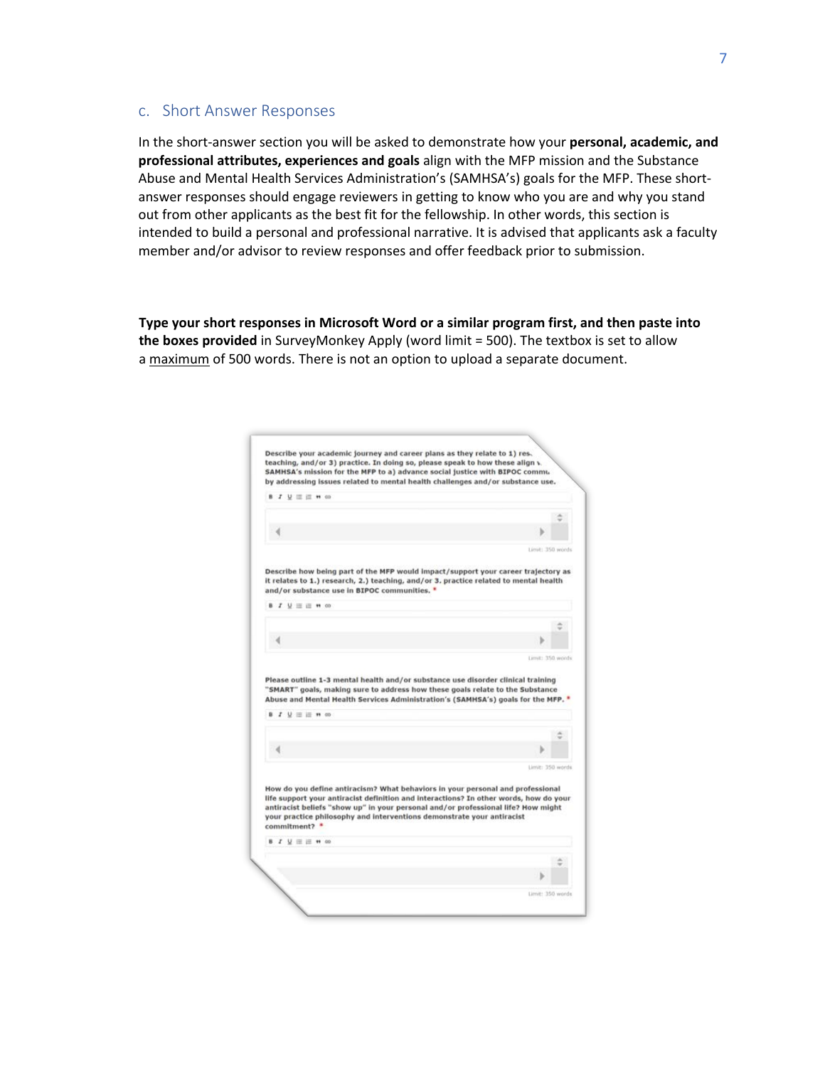### <span id="page-6-0"></span>c. Short Answer Responses

In the short-answer section you will be asked to demonstrate how your **personal, academic, and professional attributes, experiences and goals** align with the MFP mission and the Substance Abuse and Mental Health Services Administration's (SAMHSA's) goals for the MFP. These shortanswer responses should engage reviewers in getting to know who you are and why you stand out from other applicants as the best fit for the fellowship. In other words, this section is intended to build a personal and professional narrative. It is advised that applicants ask a faculty member and/or advisor to review responses and offer feedback prior to submission.

**Type your short responses in Microsoft Word or a similar program first, and then paste into the boxes provided** in SurveyMonkey Apply (word limit = 500). The textbox is set to allow a maximum of 500 words. There is not an option to upload a separate document.

| teaching, and/or 3) practice. In doing so, please speak to how these align v.<br>SAMHSA's mission for the MFP to a) advance social justice with BIPOC commu.                                                                                                                                                                                           |                  |
|--------------------------------------------------------------------------------------------------------------------------------------------------------------------------------------------------------------------------------------------------------------------------------------------------------------------------------------------------------|------------------|
| by addressing issues related to mental health challenges and/or substance use.                                                                                                                                                                                                                                                                         |                  |
| <b>B J U 三 三 M GD</b>                                                                                                                                                                                                                                                                                                                                  |                  |
|                                                                                                                                                                                                                                                                                                                                                        |                  |
|                                                                                                                                                                                                                                                                                                                                                        |                  |
|                                                                                                                                                                                                                                                                                                                                                        | Limit: 350 words |
| Describe how being part of the MFP would impact/support your career trajectory as<br>it relates to 1.) research, 2.) teaching, and/or 3. practice related to mental health<br>and/or substance use in BIPOC communities. *                                                                                                                             |                  |
| <b>B J U 三 三 M 00</b>                                                                                                                                                                                                                                                                                                                                  |                  |
|                                                                                                                                                                                                                                                                                                                                                        |                  |
|                                                                                                                                                                                                                                                                                                                                                        |                  |
|                                                                                                                                                                                                                                                                                                                                                        |                  |
| Please outline 1-3 mental health and/or substance use disorder clinical training                                                                                                                                                                                                                                                                       | Limit: 350 words |
| "SMART" goals, making sure to address how these goals relate to the Substance<br>Abuse and Mental Health Services Administration's (SAMHSA's) goals for the MFP. *                                                                                                                                                                                     |                  |
| <b>B J U 三 三 m co</b>                                                                                                                                                                                                                                                                                                                                  |                  |
|                                                                                                                                                                                                                                                                                                                                                        |                  |
|                                                                                                                                                                                                                                                                                                                                                        |                  |
|                                                                                                                                                                                                                                                                                                                                                        | Limit: 350 words |
| How do you define antiracism? What behaviors in your personal and professional<br>life support your antiracist definition and interactions? In other words, how do your<br>antiracist beliefs "show up" in your personal and/or professional life? How might<br>your practice philosophy and interventions demonstrate your antiracist<br>committment? |                  |
| <b>B J U 三 三 # 00</b>                                                                                                                                                                                                                                                                                                                                  |                  |
|                                                                                                                                                                                                                                                                                                                                                        |                  |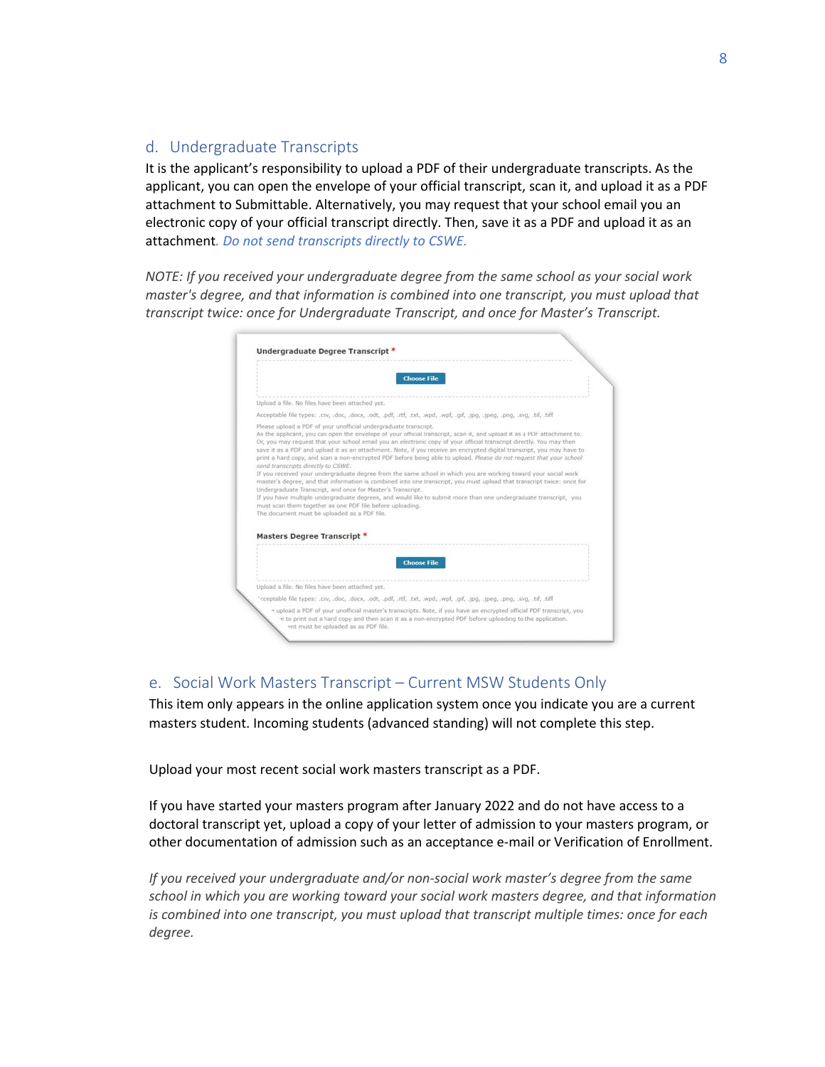# <span id="page-7-0"></span>d. Undergraduate Transcripts

It is the applicant's responsibility to upload a PDF of their undergraduate transcripts. As the applicant, you can open the envelope of your official transcript, scan it, and upload it as a PDF attachment to Submittable. Alternatively, you may request that your school email you an electronic copy of your official transcript directly. Then, save it as a PDF and upload it as an attachment*. Do not send transcripts directly to CSWE.* 

*NOTE: If you received your undergraduate degree from the same school as your social work master's degree, and that information is combined into one transcript, you must upload that transcript twice: once for Undergraduate Transcript, and once for Master's Transcript.*

| <b>Choose File</b>                                                                                                                                                                                                                                                                                                                                                                                                                                                                                                                                                                                                                                                                                                                                                                                                                                                                                                                                                                                                                                                                                                                                       |  |
|----------------------------------------------------------------------------------------------------------------------------------------------------------------------------------------------------------------------------------------------------------------------------------------------------------------------------------------------------------------------------------------------------------------------------------------------------------------------------------------------------------------------------------------------------------------------------------------------------------------------------------------------------------------------------------------------------------------------------------------------------------------------------------------------------------------------------------------------------------------------------------------------------------------------------------------------------------------------------------------------------------------------------------------------------------------------------------------------------------------------------------------------------------|--|
| Upload a file. No files have been attached yet.                                                                                                                                                                                                                                                                                                                                                                                                                                                                                                                                                                                                                                                                                                                                                                                                                                                                                                                                                                                                                                                                                                          |  |
| Acceptable file types: .csv, .doc, .docx, .odt, .pdf, .rtf, .txt, .wpd, .wpf, .gif, .jpg, .jpeg, .png, .svg, .tif, .tiff                                                                                                                                                                                                                                                                                                                                                                                                                                                                                                                                                                                                                                                                                                                                                                                                                                                                                                                                                                                                                                 |  |
| Please upload a PDF of your unofficial undergraduate transcript.<br>As the applicant, you can open the envelope of your official transcript, scan it, and upload it as a PDF attachment to.<br>Or, you may request that your school email you an electronic copy of your official transcript directly. You may then<br>save it as a PDF and upload it as an attachment. Note, if you receive an encrypted digital transcript, you may have to<br>print a hard copy, and scan a non-encrypted PDF before being able to upload. Please do not request that your school<br>send transcripts directly to CSWE.<br>If you received your undergraduate degree from the same school in which you are working toward your social work.<br>master's degree, and that information is combined into one transcript, you must upload that transcript twice: once for<br>Undergraduate Transcript, and once for Master's Transcript.<br>If you have multiple undergraduate degrees, and would like to submit more than one undergraduate transcript, you<br>must scan them together as one PDF file before uploading.<br>The document must be uploaded as a PDF file. |  |
| Masters Degree Transcript *                                                                                                                                                                                                                                                                                                                                                                                                                                                                                                                                                                                                                                                                                                                                                                                                                                                                                                                                                                                                                                                                                                                              |  |
| <b>Choose File</b>                                                                                                                                                                                                                                                                                                                                                                                                                                                                                                                                                                                                                                                                                                                                                                                                                                                                                                                                                                                                                                                                                                                                       |  |
| Upload a file. No files have been attached yet.                                                                                                                                                                                                                                                                                                                                                                                                                                                                                                                                                                                                                                                                                                                                                                                                                                                                                                                                                                                                                                                                                                          |  |
| "cceptable file types: .csv, .doc, .docx, .odt, .pdf, .rtf, .txt, .wpd, .wpf, .gif, .jpg, .jpeg, .png, .svg, .tif, .tiff                                                                                                                                                                                                                                                                                                                                                                                                                                                                                                                                                                                                                                                                                                                                                                                                                                                                                                                                                                                                                                 |  |
| a upload a PDF of your unofficial master's transcripts. Note, if you have an encrypted official PDF transcript, you<br>e to print out a hard copy and then scan it as a non-encrypted PDF before uploading to the application.                                                                                                                                                                                                                                                                                                                                                                                                                                                                                                                                                                                                                                                                                                                                                                                                                                                                                                                           |  |

# e. Social Work Masters Transcript – Current MSW Students Only

This item only appears in the online application system once you indicate you are a current masters student. Incoming students (advanced standing) will not complete this step.

Upload your most recent social work masters transcript as a PDF.

If you have started your masters program after January 2022 and do not have access to a doctoral transcript yet, upload a copy of your letter of admission to your masters program, or other documentation of admission such as an acceptance e-mail or Verification of Enrollment.

*If you received your undergraduate and/or non-social work master's degree from the same school in which you are working toward your social work masters degree, and that information is combined into one transcript, you must upload that transcript multiple times: once for each degree.*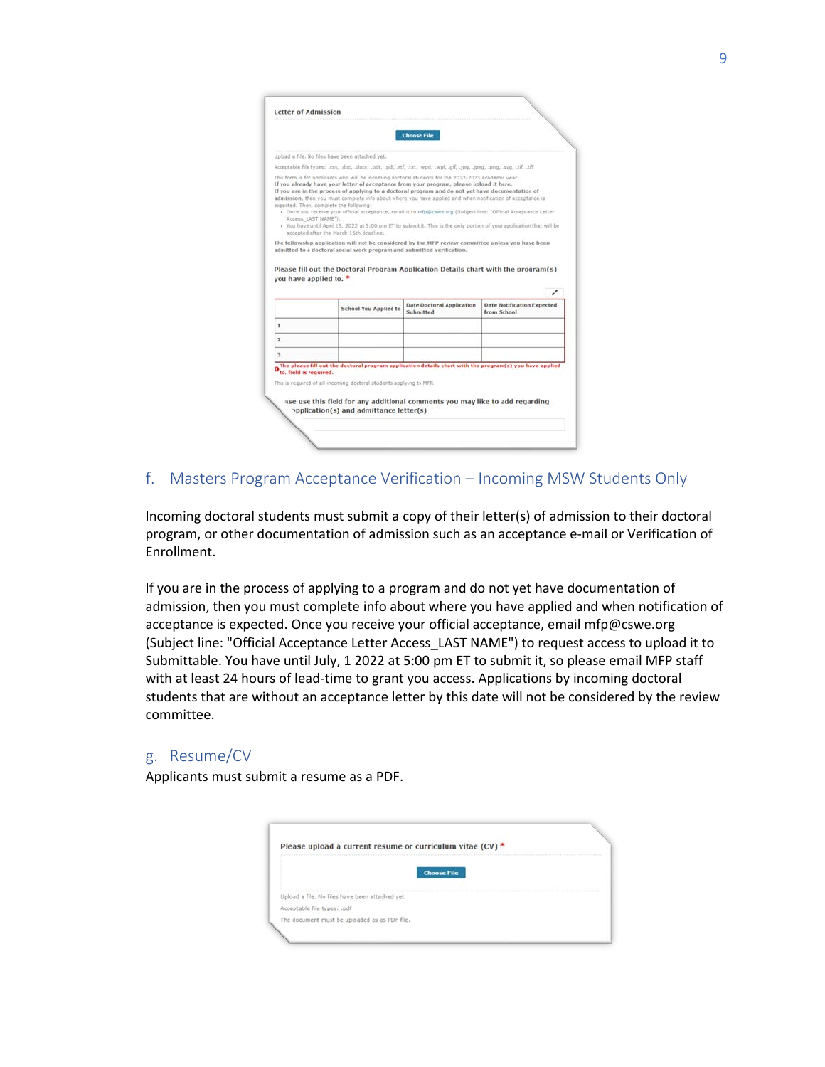<span id="page-8-0"></span>

|                        |                                                                                                                                                                                                                                                                                                                                                                                                                                                                                                                                                                                                                                              | <b>Choose File</b>               |                                        |
|------------------------|----------------------------------------------------------------------------------------------------------------------------------------------------------------------------------------------------------------------------------------------------------------------------------------------------------------------------------------------------------------------------------------------------------------------------------------------------------------------------------------------------------------------------------------------------------------------------------------------------------------------------------------------|----------------------------------|----------------------------------------|
|                        |                                                                                                                                                                                                                                                                                                                                                                                                                                                                                                                                                                                                                                              |                                  |                                        |
|                        | Joload a file. No files have been attached yet.                                                                                                                                                                                                                                                                                                                                                                                                                                                                                                                                                                                              |                                  |                                        |
|                        | Acceptable file types: .csv, .doc, .docx, .odt, .pdf, .rtf, .txt, .wpd, .wpf, .gif, .jpg, .jpeg, .png, .svg, .tif, .tiff                                                                                                                                                                                                                                                                                                                                                                                                                                                                                                                     |                                  |                                        |
| Access LAST NAME"),    | If you already have your letter of acceptance from your program, please upload it here.<br>If you are in the process of applying to a doctoral program and do not yet have documentation of<br>admission, then you must complete info about where you have applied and when notification of acceptance is<br>expected. Then, complete the following:<br>. Once you receive your official acceptance, email it to mfp@cswe.org (Subject line: "Official Acceptance Letter<br>. You have until April 15, 2022 at 5:00 pm ET to submit it. This is the only portion of your application that will be<br>accepted after the March 16th deadline. |                                  |                                        |
| you have applied to. * | The fellowship application will not be considered by the MFP review committee unless you have been<br>admitted to a doctoral social work program and submitted verification.<br>Please fill out the Doctoral Program Application Details chart with the program(s)                                                                                                                                                                                                                                                                                                                                                                           |                                  |                                        |
|                        | <b>School You Applied to</b>                                                                                                                                                                                                                                                                                                                                                                                                                                                                                                                                                                                                                 | <b>Date Doctoral Application</b> | ↙<br><b>Date Notification Expected</b> |
| 1                      |                                                                                                                                                                                                                                                                                                                                                                                                                                                                                                                                                                                                                                              | Submitted                        | from School                            |
|                        |                                                                                                                                                                                                                                                                                                                                                                                                                                                                                                                                                                                                                                              |                                  |                                        |
| $\mathbf{z}$           |                                                                                                                                                                                                                                                                                                                                                                                                                                                                                                                                                                                                                                              |                                  |                                        |
| 3                      |                                                                                                                                                                                                                                                                                                                                                                                                                                                                                                                                                                                                                                              |                                  |                                        |
| to, field is required. | The please fill out the doctoral program application details chart with the program(s) you have applied                                                                                                                                                                                                                                                                                                                                                                                                                                                                                                                                      |                                  |                                        |
|                        | This is required of all incoming doctoral students applying to MFP.                                                                                                                                                                                                                                                                                                                                                                                                                                                                                                                                                                          |                                  |                                        |
|                        | ase use this field for any additional comments you may like to add regarding                                                                                                                                                                                                                                                                                                                                                                                                                                                                                                                                                                 |                                  |                                        |

# f. Masters Program Acceptance Verification – Incoming MSW Students Only

Incoming doctoral students must submit a copy of their letter(s) of admission to their doctoral program, or other documentation of admission such as an acceptance e-mail or Verification of Enrollment.

If you are in the process of applying to a program and do not yet have documentation of admission, then you must complete info about where you have applied and when notification of acceptance is expected. Once you receive your official acceptance, email mfp@cswe.org (Subject line: "Official Acceptance Lett[er Access\\_LAST N](mailto:mfp@cswe.org)AME") to request access to upload it to Submittable. You have until July, 1 2022 at 5:00 pm ET to submit it, so please email MFP staff with at least 24 hours of lead-time to grant you access. Applications by incoming doctoral students that are without an acceptance letter by this date will not be considered by the review committee.

# g. Resume/CV

Applicants must submit a resume as a PDF.

| Please upload a current resume or curriculum vitae (CV) * |                    |
|-----------------------------------------------------------|--------------------|
|                                                           | <b>Choose File</b> |
| Upload a file. No files have been attached yet.           |                    |
| Acceptable file types: .pdf                               |                    |
| The document must be uploaded as as PDF file.             |                    |